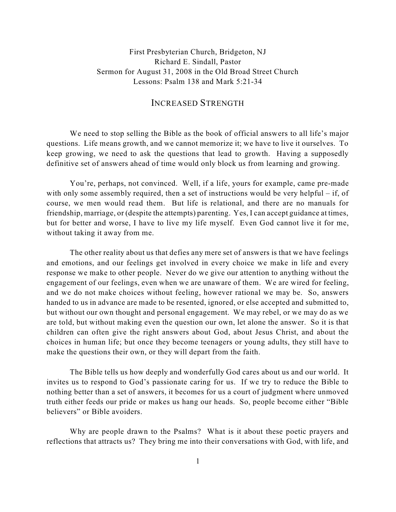First Presbyterian Church, Bridgeton, NJ Richard E. Sindall, Pastor Sermon for August 31, 2008 in the Old Broad Street Church Lessons: Psalm 138 and Mark 5:21-34

## INCREASED STRENGTH

We need to stop selling the Bible as the book of official answers to all life's major questions. Life means growth, and we cannot memorize it; we have to live it ourselves. To keep growing, we need to ask the questions that lead to growth. Having a supposedly definitive set of answers ahead of time would only block us from learning and growing.

You're, perhaps, not convinced. Well, if a life, yours for example, came pre-made with only some assembly required, then a set of instructions would be very helpful – if, of course, we men would read them. But life is relational, and there are no manuals for friendship, marriage, or (despite the attempts) parenting. Yes, I can accept guidance at times, but for better and worse, I have to live my life myself. Even God cannot live it for me, without taking it away from me.

The other reality about us that defies any mere set of answers is that we have feelings and emotions, and our feelings get involved in every choice we make in life and every response we make to other people. Never do we give our attention to anything without the engagement of our feelings, even when we are unaware of them. We are wired for feeling, and we do not make choices without feeling, however rational we may be. So, answers handed to us in advance are made to be resented, ignored, or else accepted and submitted to, but without our own thought and personal engagement. We may rebel, or we may do as we are told, but without making even the question our own, let alone the answer. So it is that children can often give the right answers about God, about Jesus Christ, and about the choices in human life; but once they become teenagers or young adults, they still have to make the questions their own, or they will depart from the faith.

The Bible tells us how deeply and wonderfully God cares about us and our world. It invites us to respond to God's passionate caring for us. If we try to reduce the Bible to nothing better than a set of answers, it becomes for us a court of judgment where unmoved truth either feeds our pride or makes us hang our heads. So, people become either "Bible believers" or Bible avoiders.

Why are people drawn to the Psalms? What is it about these poetic prayers and reflections that attracts us? They bring me into their conversations with God, with life, and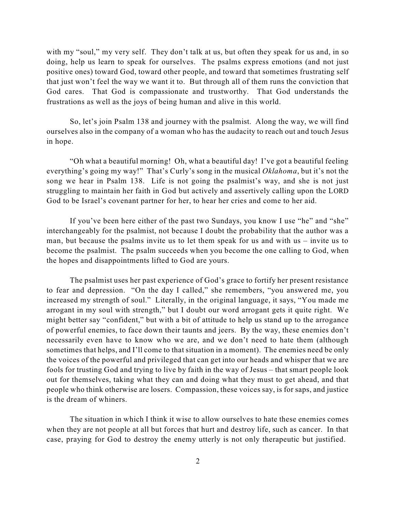with my "soul," my very self. They don't talk at us, but often they speak for us and, in so doing, help us learn to speak for ourselves. The psalms express emotions (and not just positive ones) toward God, toward other people, and toward that sometimes frustrating self that just won't feel the way we want it to. But through all of them runs the conviction that God cares. That God is compassionate and trustworthy. That God understands the frustrations as well as the joys of being human and alive in this world.

So, let's join Psalm 138 and journey with the psalmist. Along the way, we will find ourselves also in the company of a woman who has the audacity to reach out and touch Jesus in hope.

"Oh what a beautiful morning! Oh, what a beautiful day! I've got a beautiful feeling everything's going my way!" That's Curly's song in the musical *Oklahoma*, but it's not the song we hear in Psalm 138. Life is not going the psalmist's way, and she is not just struggling to maintain her faith in God but actively and assertively calling upon the LORD God to be Israel's covenant partner for her, to hear her cries and come to her aid.

If you've been here either of the past two Sundays, you know I use "he" and "she" interchangeably for the psalmist, not because I doubt the probability that the author was a man, but because the psalms invite us to let them speak for us and with us – invite us to become the psalmist. The psalm succeeds when you become the one calling to God, when the hopes and disappointments lifted to God are yours.

The psalmist uses her past experience of God's grace to fortify her present resistance to fear and depression. "On the day I called," she remembers, "you answered me, you increased my strength of soul." Literally, in the original language, it says, "You made me arrogant in my soul with strength," but I doubt our word arrogant gets it quite right. We might better say "confident," but with a bit of attitude to help us stand up to the arrogance of powerful enemies, to face down their taunts and jeers. By the way, these enemies don't necessarily even have to know who we are, and we don't need to hate them (although sometimes that helps, and I'll come to that situation in a moment). The enemies need be only the voices of the powerful and privileged that can get into our heads and whisper that we are fools for trusting God and trying to live by faith in the way of Jesus – that smart people look out for themselves, taking what they can and doing what they must to get ahead, and that people who think otherwise are losers. Compassion, these voices say, is for saps, and justice is the dream of whiners.

The situation in which I think it wise to allow ourselves to hate these enemies comes when they are not people at all but forces that hurt and destroy life, such as cancer. In that case, praying for God to destroy the enemy utterly is not only therapeutic but justified.